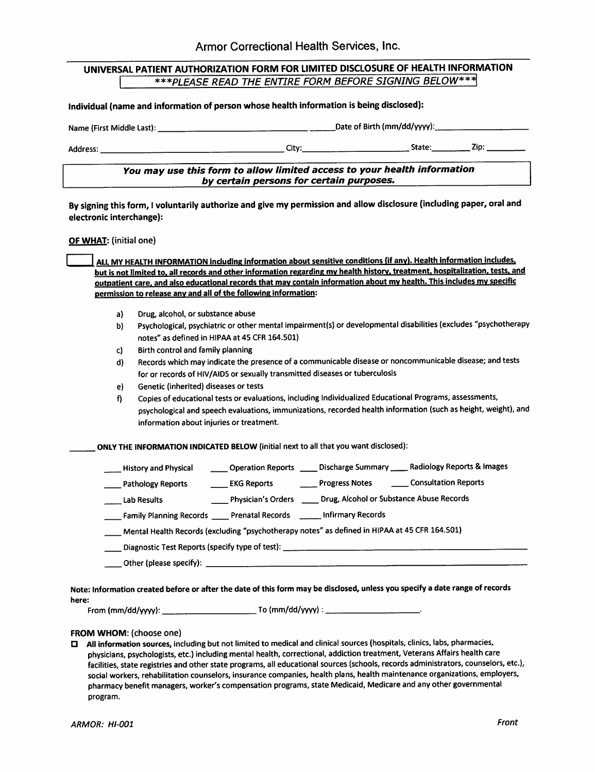| UNIVERSAL PATIENT AUTHORIZATION FORM FOR LIMITED DISCLOSURE OF HEALTH INFORMATION |                                                        |  |  |  |  |
|-----------------------------------------------------------------------------------|--------------------------------------------------------|--|--|--|--|
|                                                                                   | ***PLEASE READ THE ENTIRE FORM BEFORE SIGNING BELOW*** |  |  |  |  |

Individual (name and information of person whose health information is being disclosed):

Name (First Middle Last): Name (First Middle Last): Date of Birth (mm/dd/yyyy): 2014

Address; City; State; Zip;

You may use this form to allow limited access to your health information by certain persons for certain purposes.

By signing this form, I voluntarily authorize and give my permission and allow disclosure (including paper, oral and electronic interchange):

OF WHAT: (initial one)

ALL MY HEALTH INFORMATION including information about sensitive conditions (if any). Health information includes, but is not limited to, all records and other information regarding my health history, treatment, hospitalization, tests, and outpatient care, and also educational records that mav contain Information about mv health. Thisincludes mv specific permission to release any and all of the following information:

- a) Drug, alcohol, or substance abuse
- b) Psychological, psychiatric or other mental impairment(s) or developmental disabilities (excludes "psychotherapy notes" as defined in HIPAA at 45 CFR 164.501)
- c) Birth control and family planning
- d) Records which may indicate the presence of a communicable disease or noncommunicable disease; and tests for or records of HIV/AIDS or sexually transmitted diseases or tuberculosis
- e) Genetic (inherited) diseases or tests

f) Copies of educational tests or evaluations, including Individualized Educational Programs, assessments, psychological and speech evaluations, immunizations, recorded health information (such as height, weight), and information about injuries or treatment.

ONLY THE INFORMATION INDICATED BELOW (initial next to all that you want disclosed);

| <b>History and Physical</b> | <b>Operation Reports</b> | Discharge Summary | Radiology Reports & Images |
|-----------------------------|--------------------------|-------------------|----------------------------|
|-----------------------------|--------------------------|-------------------|----------------------------|

- Pathology Reports \_\_\_\_\_\_\_\_ EKG Reports \_\_\_\_\_\_\_\_\_\_\_Progress Notes \_\_\_\_\_\_\_\_ Consultation Reports
- Lab Results **Physician's Orders Crug, Alcohol or Substance Abuse Records Crug Community**
- Family Planning Records \_\_\_\_\_ Prenatal Records \_\_\_\_\_\_ Infirmary Records
- Mental Health Records (excluding "psychotherapy notes" as defined in HIPAA at 45 CFR 164.501)

Diagnostic Test Reports (specify type of test): \_\_\_\_\_\_\_\_\_\_\_\_\_\_\_\_\_\_\_\_\_\_\_\_\_\_\_\_\_\_\_\_

Other (please specify);

Note: Information created before or after the date of this form may be disclosed, unless you specify a date range of records here:

From (mm/dd/yyyy); To (mm/dd/yyyy); •

## FROM WHOM: (choose one)

 $\Box$  All information sources, including but not limited to medical and clinical sources (hospitals, clinics, labs, pharmacies, physicians, psychologists, etc.) including mental health, correctional, addiction treatment, Veterans Affairs health care facilities, state registries and other state programs, all educational sources (schools, records administrators, counselors, etc.), social workers, rehabilitation counselors, insurance companies, health plans, health maintenance organizations, employers, pharmacy benefit managers, worker's compensation programs, state Medicaid, Medicare andanyother governmental program.